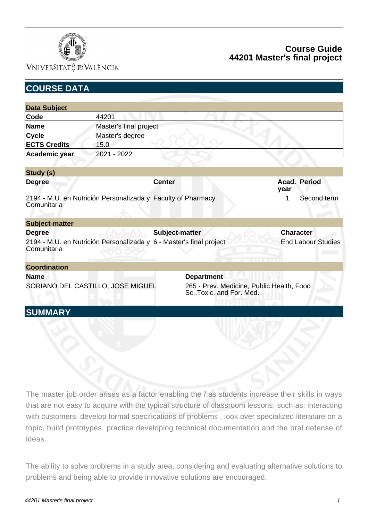

### VNIVERSITATÖ ID VALÈNCIA

# **Course Guide 44201 Master's final project**

| <b>COURSE DATA</b>                                                                                  |                        |                |                                                                                             |  |                  |                           |
|-----------------------------------------------------------------------------------------------------|------------------------|----------------|---------------------------------------------------------------------------------------------|--|------------------|---------------------------|
|                                                                                                     |                        |                |                                                                                             |  |                  |                           |
| <b>Data Subject</b>                                                                                 |                        |                |                                                                                             |  |                  |                           |
| Code                                                                                                | 44201                  |                |                                                                                             |  |                  |                           |
| <b>Name</b>                                                                                         | Master's final project |                |                                                                                             |  |                  |                           |
| <b>Cycle</b>                                                                                        | Master's degree        |                |                                                                                             |  |                  |                           |
| <b>ECTS Credits</b>                                                                                 | 15.0                   |                |                                                                                             |  |                  |                           |
| Academic year                                                                                       | 2021 - 2022            |                |                                                                                             |  |                  |                           |
|                                                                                                     |                        |                |                                                                                             |  |                  |                           |
| Study (s)                                                                                           |                        |                |                                                                                             |  |                  |                           |
| <b>Degree</b>                                                                                       |                        | <b>Center</b>  |                                                                                             |  | year             | Acad. Period              |
| 2194 - M.U. en Nutrición Personalizada y Faculty of Pharmacy<br>Comunitaria                         |                        |                |                                                                                             |  | 1                | Second term               |
| <b>Subject-matter</b>                                                                               |                        |                |                                                                                             |  |                  |                           |
| <b>Degree</b><br>2194 - M.U. en Nutrición Personalizada y 6 - Master's final project<br>Comunitaria |                        | Subject-matter |                                                                                             |  | <b>Character</b> | <b>End Labour Studies</b> |
| <b>Coordination</b>                                                                                 |                        |                |                                                                                             |  |                  |                           |
| <b>Name</b><br>SORIANO DEL CASTILLO, JOSE MIGUEL                                                    |                        |                | <b>Department</b><br>265 - Prev. Medicine, Public Health, Food<br>Sc., Toxic. and For. Med. |  |                  |                           |
| <b>SUMMARY</b>                                                                                      |                        |                |                                                                                             |  |                  |                           |

The master job order arises as a factor enabling the / as students increase their skills in ways that are not easy to acquire with the typical structure of classroom lessons, such as: interacting with customers, develop formal specifications of problems , look over specialized literature on a topic, build prototypes, practice developing technical documentation and the oral defense of ideas.

The ability to solve problems in a study area, considering and evaluating alternative solutions to problems and being able to provide innovative solutions are encouraged.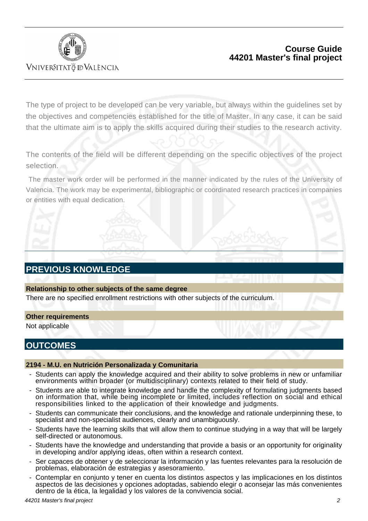

VNIVERSITATÖ ID VALÈNCIA

### **Course Guide 44201 Master's final project**

The type of project to be developed can be very variable, but always within the guidelines set by the objectives and competencies established for the title of Master. In any case, it can be said that the ultimate aim is to apply the skills acquired during their studies to the research activity.

The contents of the field will be different depending on the specific objectives of the project selection.

The master work order will be performed in the manner indicated by the rules of the University of Valencia. The work may be experimental, bibliographic or coordinated research practices in companies or entities with equal dedication.

# **PREVIOUS KNOWLEDGE**

#### **Relationship to other subjects of the same degree**

There are no specified enrollment restrictions with other subjects of the curriculum.

#### **Other requirements**

Not applicable

### **OUTCOMES**

#### **2194 - M.U. en Nutrición Personalizada y Comunitaria**

- Students can apply the knowledge acquired and their ability to solve problems in new or unfamiliar environments within broader (or multidisciplinary) contexts related to their field of study.
- Students are able to integrate knowledge and handle the complexity of formulating judgments based on information that, while being incomplete or limited, includes reflection on social and ethical responsibilities linked to the application of their knowledge and judgments.
- Students can communicate their conclusions, and the knowledge and rationale underpinning these, to specialist and non-specialist audiences, clearly and unambiquously.
- Students have the learning skills that will allow them to continue studying in a way that will be largely self-directed or autonomous.
- Students have the knowledge and understanding that provide a basis or an opportunity for originality in developing and/or applying ideas, often within a research context.
- Ser capaces de obtener y de seleccionar la información y las fuentes relevantes para la resolución de problemas, elaboración de estrategias y asesoramiento.
- Contemplar en conjunto y tener en cuenta los distintos aspectos y las implicaciones en los distintos aspectos de las decisiones y opciones adoptadas, sabiendo elegir o aconsejar las más convenientes dentro de la ética, la legalidad y los valores de la convivencia social.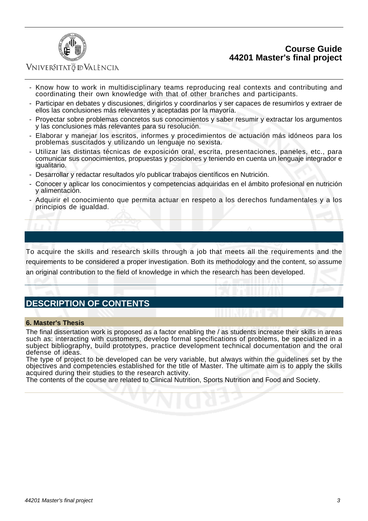### **Course Guide 44201 Master's final project**



### VNIVERSITATÖ ID VALÈNCIA

- Know how to work in multidisciplinary teams reproducing real contexts and contributing and coordinating their own knowledge with that of other branches and participants.
- Participar en debates y discusiones, dirigirlos y coordinarlos y ser capaces de resumirlos y extraer de ellos las conclusiones más relevantes y aceptadas por la mayoría.
- Proyectar sobre problemas concretos sus conocimientos y saber resumir y extractar los argumentos y las conclusiones más relevantes para su resolución.
- Elaborar y manejar los escritos, informes y procedimientos de actuación más idóneos para los problemas suscitados y utilizando un lenguaje no sexista.
- Utilizar las distintas técnicas de exposición oral, escrita, presentaciones, paneles, etc., para comunicar sus conocimientos, propuestas y posiciones y teniendo en cuenta un lenguaje integrador e igualitario.
- Desarrollar y redactar resultados y/o publicar trabajos científicos en Nutrición.
- Conocer y aplicar los conocimientos y competencias adquiridas en el ámbito profesional en nutrición y alimentación.
- Adquirir el conocimiento que permita actuar en respeto a los derechos fundamentales y a los principios de igualdad.

To acquire the skills and research skills through a job that meets all the requirements and the requirements to be considered a proper investigation. Both its methodology and the content, so assume an original contribution to the field of knowledge in which the research has been developed.

# **DESCRIPTION OF CONTENTS**

#### **6. Master's Thesis**

The final dissertation work is proposed as a factor enabling the / as students increase their skills in areas such as: interacting with customers, develop formal specifications of problems, be specialized in a subject bibliography, build prototypes, practice development technical documentation and the oral defense of ideas.

The type of project to be developed can be very variable, but always within the guidelines set by the objectives and competencies established for the title of Master. The ultimate aim is to apply the skills acquired during their studies to the research activity.

The contents of the course are related to Clinical Nutrition, Sports Nutrition and Food and Society.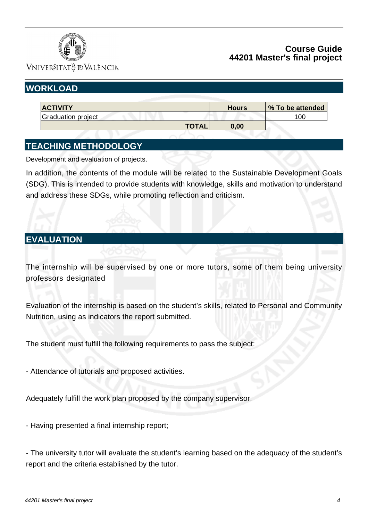

### **Course Guide 44201 Master's final project**

VNIVERSITATÖ IDVALÈNCIA

# **WORKLOAD**

| <b>ACTIVITY</b>    | <b>Hours</b> | % To be attended |
|--------------------|--------------|------------------|
| Graduation project |              | 100              |
| <b>TOTAL.</b>      | 0.00         |                  |

# **TEACHING METHODOLOGY**

Development and evaluation of projects.

In addition, the contents of the module will be related to the Sustainable Development Goals (SDG). This is intended to provide students with knowledge, skills and motivation to understand and address these SDGs, while promoting reflection and criticism.

# **EVALUATION**

The internship will be supervised by one or more tutors, some of them being university professors designated

Evaluation of the internship is based on the student's skills, related to Personal and Community Nutrition, using as indicators the report submitted.

The student must fulfill the following requirements to pass the subject:

- Attendance of tutorials and proposed activities.

Adequately fulfill the work plan proposed by the company supervisor.

- Having presented a final internship report;

- The university tutor will evaluate the student's learning based on the adequacy of the student's report and the criteria established by the tutor.